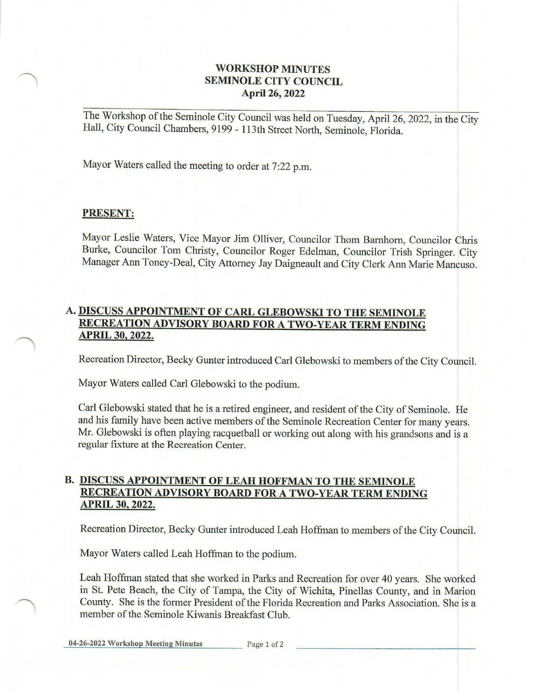## **WORKSHOP MINUTES SEMINOLE CITY COUNCIL April 26, 2022**

The Workshop of the Seminole City Council was held on Tuesday, April 26, 2022, in the City Hall, City Council Chambers, 9199 - 113th Street North, Seminole, Florida.

Mayor Waters called the meeting to order at 7:22 p.m.

## **PRESENT:**

Mayor Leslie Waters, Vice Mayor Jim Olliver, Councilor Thom Barnhom, Councilor Chris Burke, Councilor Tom Christy, Councilor Roger Edelman, Councilor Trish Springer. City Manager Ann Toney-Deal, City Attorney Jay Daigneault and City Clerk Ann Marie Mancuso.

## **A. DISCUSS APPOINTMENT OF CARL GLEBOWSKI TO THE SEMINOLE RECREATION ADVISORY BOARD FOR A TWO-YEAR TERM ENDING APRIL 30, 2022.**

Recreation Director, Becky Gunter introduced Carl Glebowski to members of the City Council.

Mayor Waters called Carl Glebowski to the podium.

Carl Glebowski stated that he is a retired engineer, and resident of the City of Seminole. He and his family have been active members of the Seminole Recreation Center for many years. Mr. Glebowski is often playing racquetball or working out along with his grandsons and is a regular fixture at the Recreation Center.

## **B. DISCUSS APPOINTMENT OF LEAH HOFFMAN TO THE SEMINOLE RECREATION ADVISORY BOARD FOR A TWO-YEAR TERM ENDING APRIL 30, 2022.**

Recreation Director, Becky Gunter introduced Leah Hoffman to members of the City Council.

Mayor Waters called Leah Hoffman to the podium.

Leah Hoffman stated that she worked in Parks and Recreation for over 40 years. She worked in St. Pete Beach, the City of Tampa, the City of Wichita, Pinellas County, and in Marion County. She is the former President of the Florida Recreation and Parks Association. She is a member of the Seminole Kiwanis Breakfast Club.